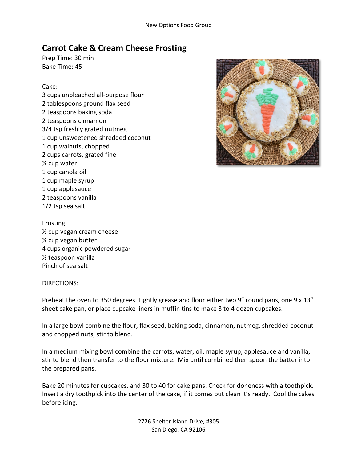## **Carrot Cake & Cream Cheese Frosting**

Prep Time: 30 min Bake Time: 45

## Cake:

3 cups unbleached all-purpose flour 2 tablespoons ground flax seed 2 teaspoons baking soda 2 teaspoons cinnamon 3/4 tsp freshly grated nutmeg 1 cup unsweetened shredded coconut 1 cup walnuts, chopped 2 cups carrots, grated fine ½ cup water 1 cup canola oil 1 cup maple syrup 1 cup applesauce 2 teaspoons vanilla 1/2 tsp sea salt



Frosting: ½ cup vegan cream cheese ½ cup vegan butter 4 cups organic powdered sugar ½ teaspoon vanilla Pinch of sea salt

## DIRECTIONS:

Preheat the oven to 350 degrees. Lightly grease and flour either two 9" round pans, one 9 x 13" sheet cake pan, or place cupcake liners in muffin tins to make 3 to 4 dozen cupcakes.

In a large bowl combine the flour, flax seed, baking soda, cinnamon, nutmeg, shredded coconut and chopped nuts, stir to blend.

In a medium mixing bowl combine the carrots, water, oil, maple syrup, applesauce and vanilla, stir to blend then transfer to the flour mixture. Mix until combined then spoon the batter into the prepared pans.

Bake 20 minutes for cupcakes, and 30 to 40 for cake pans. Check for doneness with a toothpick. Insert a dry toothpick into the center of the cake, if it comes out clean it's ready. Cool the cakes before icing.

> 2726 Shelter Island Drive, #305 San Diego, CA 92106